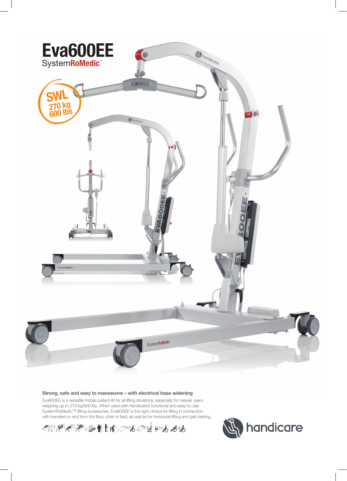

### **Strong, safe and easy to manoeuvre – with electrical base widening**

Eva600EE is a versatile mobile patient lift for all lifting situations, especially for heavier users weighing up to 270 kg/600 lbs. When used with Handicare's functional and easy-to-use SystemRoMedic™ lifting accessories, Eva600EE is the right choice for lifting in connection with transfers to and from the floor, chair or bed, as well as for horizontal lifting and gait training.